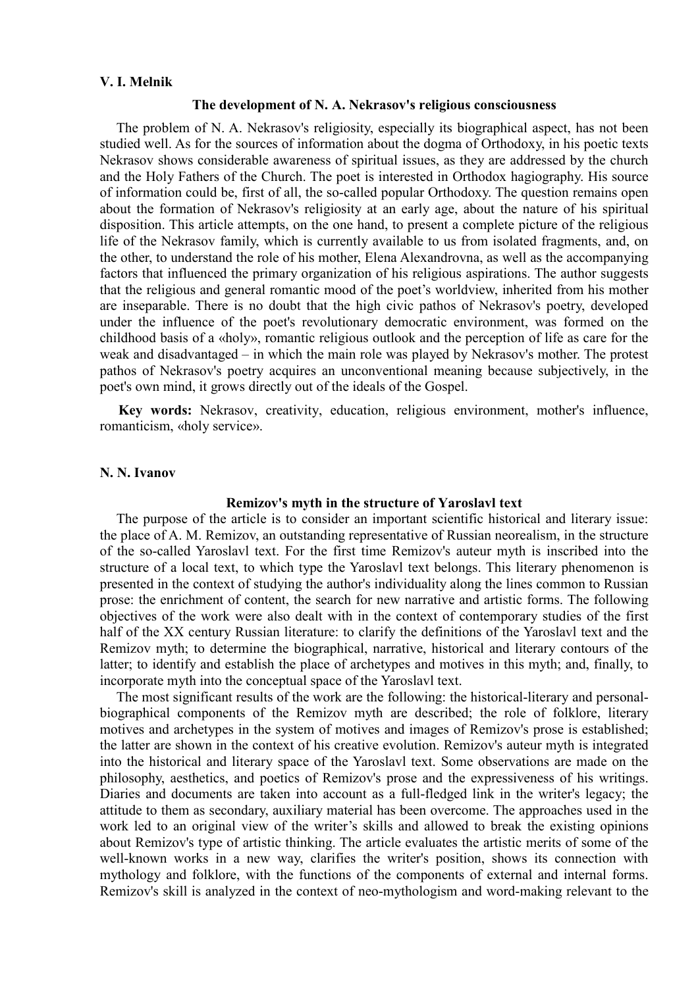#### **V. I. Melnik**

#### **The development of N. A. Nekrasov's religious consciousness**

The problem of N. A. Nekrasov's religiosity, especially its biographical aspect, has not been studied well. As for the sources of information about the dogma of Orthodoxy, in his poetic texts Nekrasov shows considerable awareness of spiritual issues, as they are addressed by the church and the Holy Fathers of the Church. The poet is interested in Orthodox hagiography. His source of information could be, first of all, the so-called popular Orthodoxy. The question remains open about the formation of Nekrasov's religiosity at an early age, about the nature of his spiritual disposition. This article attempts, on the one hand, to present a complete picture of the religious life of the Nekrasov family, which is currently available to us from isolated fragments, and, on the other, to understand the role of his mother, Elena Alexandrovna, as well as the accompanying factors that influenced the primary organization of his religious aspirations. The author suggests that the religious and general romantic mood of the poet's worldview, inherited from his mother are inseparable. There is no doubt that the high civic pathos of Nekrasov's poetry, developed under the influence of the poet's revolutionary democratic environment, was formed on the childhood basis of a «holy», romantic religious outlook and the perception of life as care for the weak and disadvantaged – in which the main role was played by Nekrasov's mother. The protest pathos of Nekrasov's poetry acquires an unconventional meaning because subjectively, in the poet's own mind, it grows directly out of the ideals of the Gospel.

**Key words:** Nekrasov, creativity, education, religious environment, mother's influence, romanticism, «holy service».

#### **N. N. Ivanov**

#### **Remizov's myth in the structure of Yaroslavl text**

The purpose of the article is to consider an important scientific historical and literary issue: the place of A. M. Remizov, an outstanding representative of Russian neorealism, in the structure of the so-called Yaroslavl text. For the first time Remizov's auteur myth is inscribed into the structure of a local text, to which type the Yaroslavl text belongs. This literary phenomenon is presented in the context of studying the author's individuality along the lines common to Russian prose: the enrichment of content, the search for new narrative and artistic forms. The following objectives of the work were also dealt with in the context of contemporary studies of the first half of the XX century Russian literature: to clarify the definitions of the Yaroslavl text and the Remizov myth; to determine the biographical, narrative, historical and literary contours of the latter; to identify and establish the place of archetypes and motives in this myth; and, finally, to incorporate myth into the conceptual space of the Yaroslavl text.

The most significant results of the work are the following: the historical-literary and personalbiographical components of the Remizov myth are described; the role of folklore, literary motives and archetypes in the system of motives and images of Remizov's prose is established; the latter are shown in the context of his creative evolution. Remizov's auteur myth is integrated into the historical and literary space of the Yaroslavl text. Some observations are made on the philosophy, aesthetics, and poetics of Remizov's prose and the expressiveness of his writings. Diaries and documents are taken into account as a full-fledged link in the writer's legacy; the attitude to them as secondary, auxiliary material has been overcome. The approaches used in the work led to an original view of the writer's skills and allowed to break the existing opinions about Remizov's type of artistic thinking. The article evaluates the artistic merits of some of the well-known works in a new way, clarifies the writer's position, shows its connection with mythology and folklore, with the functions of the components of external and internal forms. Remizov's skill is analyzed in the context of neo-mythologism and word-making relevant to the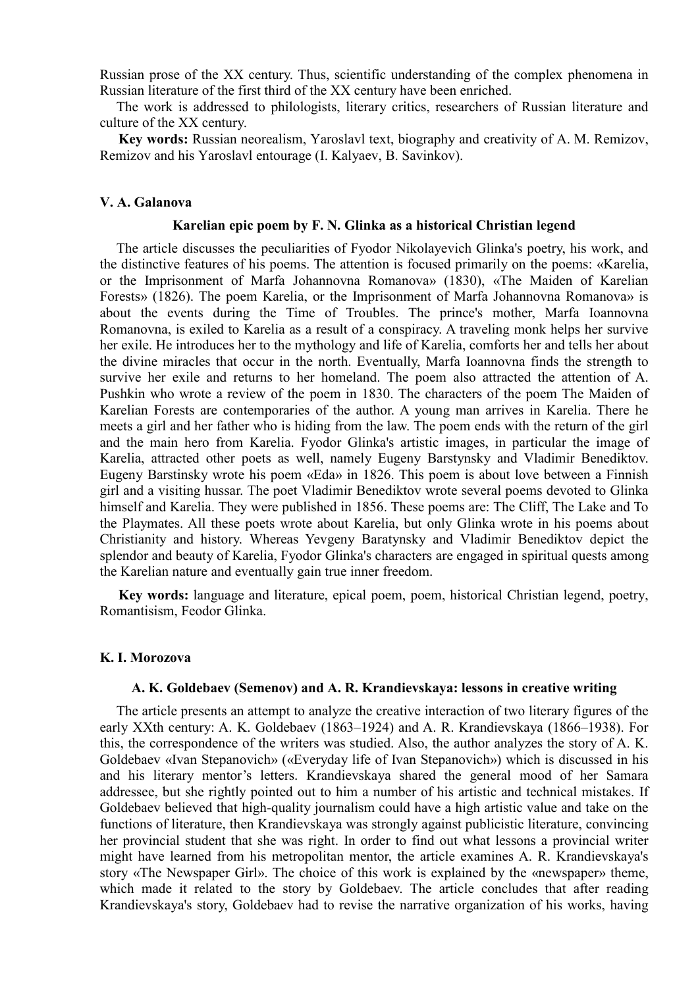Russian prose of the XX century. Thus, scientific understanding of the complex phenomena in Russian literature of the first third of the XX century have been enriched.

The work is addressed to philologists, literary critics, researchers of Russian literature and culture of the XX century.

**Key words:** Russian neorealism, Yaroslavl text, biography and creativity of A. M. Remizov, Remizov and his Yaroslavl entourage (I. Kalyaev, B. Savinkov).

### **V. A. Galanova**

## **Karelian epic poem by F. N. Glinka as a historical Christian legend**

The article discusses the peculiarities of Fyodor Nikolayevich Glinka's poetry, his work, and the distinctive features of his poems. The attention is focused primarily on the poems: «Karelia, or the Imprisonment of Marfa Johannovna Romanova» (1830), «The Maiden of Karelian Forests» (1826). The poem Karelia, or the Imprisonment of Marfa Johannovna Romanova» is about the events during the Time of Troubles. The prince's mother, Marfa Ioannovna Romanovna, is exiled to Karelia as a result of a conspiracy. A traveling monk helps her survive her exile. He introduces her to the mythology and life of Karelia, comforts her and tells her about the divine miracles that occur in the north. Eventually, Marfa Ioannovna finds the strength to survive her exile and returns to her homeland. The poem also attracted the attention of A. Pushkin who wrote a review of the poem in 1830. The characters of the poem The Maiden of Karelian Forests are contemporaries of the author. A young man arrives in Karelia. There he meets a girl and her father who is hiding from the law. The poem ends with the return of the girl and the main hero from Karelia. Fyodor Glinka's artistic images, in particular the image of Karelia, attracted other poets as well, namely Eugeny Barstynsky and Vladimir Benediktov. Eugeny Barstinsky wrote his poem «Eda» in 1826. This poem is about love between a Finnish girl and a visiting hussar. The poet Vladimir Benediktov wrote several poems devoted to Glinka himself and Karelia. They were published in 1856. These poems are: The Cliff, The Lake and To the Playmates. All these poets wrote about Karelia, but only Glinka wrote in his poems about Christianity and history. Whereas Yevgeny Baratynsky and Vladimir Benediktov depict the splendor and beauty of Karelia, Fyodor Glinka's characters are engaged in spiritual quests among the Karelian nature and eventually gain true inner freedom.

**Key words:** language and literature, epical poem, poem, historical Christian legend, poetry, Romantisism, Feodor Glinka.

#### **K. I. Morozova**

#### **A. K. Goldebaev (Semenov) and A. R. Krandievskaya: lessons in creative writing**

The article presents an attempt to analyze the creative interaction of two literary figures of the early XXth century: A. K. Goldebaev (1863–1924) and A. R. Krandievskaya (1866–1938). For this, the correspondence of the writers was studied. Also, the author analyzes the story of A. K. Goldebaev «Ivan Stepanovich» («Everyday life of Ivan Stepanovich») which is discussed in his and his literary mentor's letters. Krandievskaya shared the general mood of her Samara addressee, but she rightly pointed out to him a number of his artistic and technical mistakes. If Goldebaev believed that high-quality journalism could have a high artistic value and take on the functions of literature, then Krandievskaya was strongly against publicistic literature, convincing her provincial student that she was right. In order to find out what lessons a provincial writer might have learned from his metropolitan mentor, the article examines A. R. Krandievskaya's story «The Newspaper Girl». The choice of this work is explained by the «newspaper» theme, which made it related to the story by Goldebaev. The article concludes that after reading Krandievskaya's story, Goldebaev had to revise the narrative organization of his works, having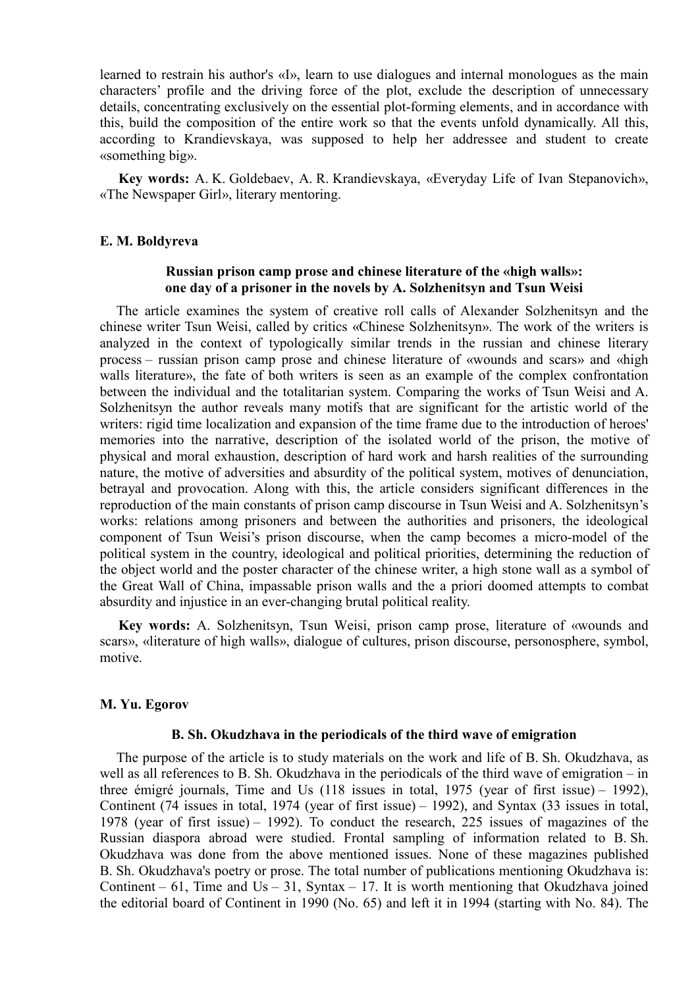learned to restrain his author's «I», learn to use dialogues and internal monologues as the main characters' profile and the driving force of the plot, exclude the description of unnecessary details, concentrating exclusively on the essential plot-forming elements, and in accordance with this, build the composition of the entire work so that the events unfold dynamically. All this, according to Krandievskaya, was supposed to help her addressee and student to create «something big».

**Key words:** A. K. Goldebaev, A. R. Krandievskaya, «Everyday Life of Ivan Stepanovich», «The Newspaper Girl», literary mentoring.

# **E. M. Boldyreva**

# **Russian prison camp prose and сhinese literature of the «high walls»: one day of a prisoner in the novels by A. Solzhenitsyn and Tsun Weisi**

The article examines the system of creative roll calls of Alexander Solzhenitsyn and the сhinese writer Tsun Weisi, called by critics «Chinese Solzhenitsyn». The work of the writers is analyzed in the context of typologically similar trends in the russian and chinese literary process – russian prison camp prose and chinese literature of «wounds and scars» and «high walls literature», the fate of both writers is seen as an example of the complex confrontation between the individual and the totalitarian system. Comparing the works of Tsun Weisi and A. Solzhenitsyn the author reveals many motifs that are significant for the artistic world of the writers: rigid time localization and expansion of the time frame due to the introduction of heroes' memories into the narrative, description of the isolated world of the prison, the motive of physical and moral exhaustion, description of hard work and harsh realities of the surrounding nature, the motive of adversities and absurdity of the political system, motives of denunciation, betrayal and provocation. Along with this, the article considers significant differences in the reproduction of the main constants of prison camp discourse in Tsun Weisi and A. Solzhenitsyn's works: relations among prisoners and between the authorities and prisoners, the ideological component of Tsun Weisi's prison discourse, when the camp becomes a micro-model of the political system in the country, ideological and political priorities, determining the reduction of the object world and the poster character of the chinese writer, a high stone wall as a symbol of the Great Wall of China, impassable prison walls and the a priori doomed attempts to combat absurdity and injustice in an ever-changing brutal political reality.

**Key words:** A. Solzhenitsyn, Tsun Weisi, prison camp prose, literature of «wounds and scars», «literature of high walls», dialogue of cultures, prison discourse, personosphere, symbol, motive.

## **M. Yu. Egorov**

#### **B. Sh. Okudzhava in the periodicals of the third wave of emigration**

The purpose of the article is to study materials on the work and life of B. Sh. Okudzhava, as well as all references to B. Sh. Okudzhava in the periodicals of the third wave of emigration – in three émigré journals, Time and Us (118 issues in total, 1975 (year of first issue) – 1992), Continent (74 issues in total, 1974 (year of first issue) – 1992), and Syntax (33 issues in total, 1978 (year of first issue) – 1992). To conduct the research, 225 issues of magazines of the Russian diaspora abroad were studied. Frontal sampling of information related to B. Sh. Okudzhava was done from the above mentioned issues. None of these magazines published B. Sh. Okudzhava's poetry or prose. The total number of publications mentioning Okudzhava is: Continent – 61, Time and Us – 31, Syntax – 17. It is worth mentioning that Okudzhava joined the editorial board of Continent in 1990 (No. 65) and left it in 1994 (starting with No. 84). The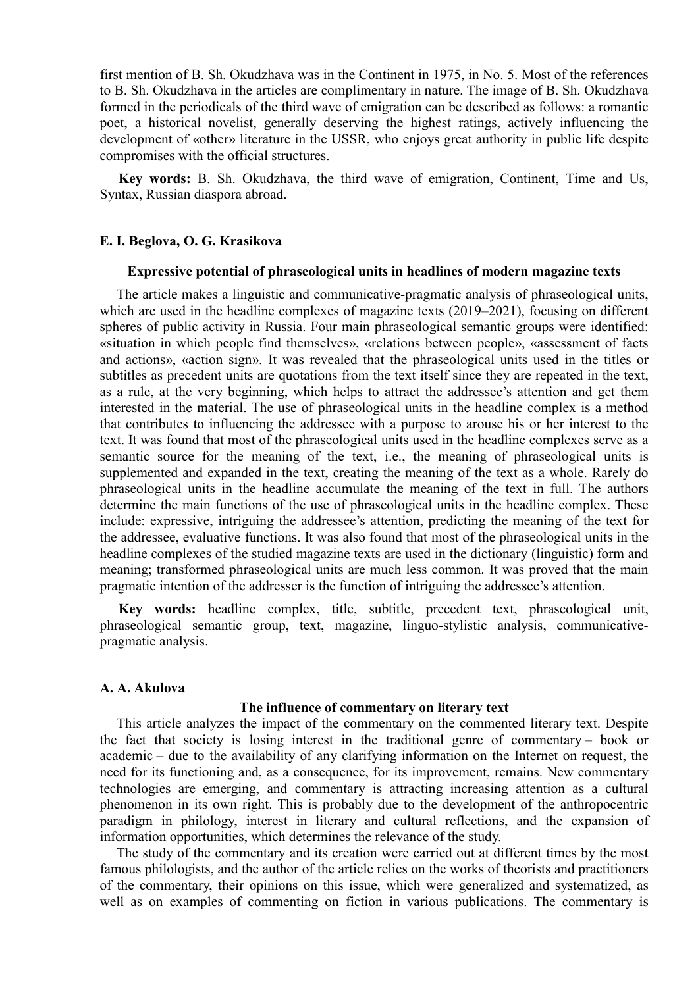first mention of B. Sh. Okudzhava was in the Continent in 1975, in No. 5. Most of the references to B. Sh. Okudzhava in the articles are complimentary in nature. The image of B. Sh. Okudzhava formed in the periodicals of the third wave of emigration can be described as follows: a romantic poet, a historical novelist, generally deserving the highest ratings, actively influencing the development of «other» literature in the USSR, who enjoys great authority in public life despite compromises with the official structures.

**Key words:** B. Sh. Okudzhava, the third wave of emigration, Continent, Time and Us, Syntax, Russian diaspora abroad.

## **E. I. Beglova, O. G. Krasikova**

### **Expressive potential of phraseological units in headlines of modern magazine texts**

The article makes a linguistic and communicative-pragmatic analysis of phraseological units, which are used in the headline complexes of magazine texts (2019–2021), focusing on different spheres of public activity in Russia. Four main phraseological semantic groups were identified: «situation in which people find themselves», «relations between people», «assessment of facts and actions», «action sign». It was revealed that the phraseological units used in the titles or subtitles as precedent units are quotations from the text itself since they are repeated in the text, as a rule, at the very beginning, which helps to attract the addressee's attention and get them interested in the material. The use of phraseological units in the headline complex is a method that contributes to influencing the addressee with a purpose to arouse his or her interest to the text. It was found that most of the phraseological units used in the headline complexes serve as a semantic source for the meaning of the text, i.e., the meaning of phraseological units is supplemented and expanded in the text, creating the meaning of the text as a whole. Rarely do phraseological units in the headline accumulate the meaning of the text in full. The authors determine the main functions of the use of phraseological units in the headline complex. These include: expressive, intriguing the addressee's attention, predicting the meaning of the text for the addressee, evaluative functions. It was also found that most of the phraseological units in the headline complexes of the studied magazine texts are used in the dictionary (linguistic) form and meaning; transformed phraseological units are much less common. It was proved that the main pragmatic intention of the addresser is the function of intriguing the addressee's attention.

**Key words:** headline complex, title, subtitle, precedent text, phraseological unit, phraseological semantic group, text, magazine, linguo-stylistic analysis, communicativepragmatic analysis.

### **A. A. Akulova**

#### **The influence of commentary on literary text**

This article analyzes the impact of the commentary on the commented literary text. Despite the fact that society is losing interest in the traditional genre of commentary – book or academic – due to the availability of any clarifying information on the Internet on request, the need for its functioning and, as a consequence, for its improvement, remains. New commentary technologies are emerging, and commentary is attracting increasing attention as a cultural phenomenon in its own right. This is probably due to the development of the anthropocentric paradigm in philology, interest in literary and cultural reflections, and the expansion of information opportunities, which determines the relevance of the study.

The study of the commentary and its creation were carried out at different times by the most famous philologists, and the author of the article relies on the works of theorists and practitioners of the commentary, their opinions on this issue, which were generalized and systematized, as well as on examples of commenting on fiction in various publications. The commentary is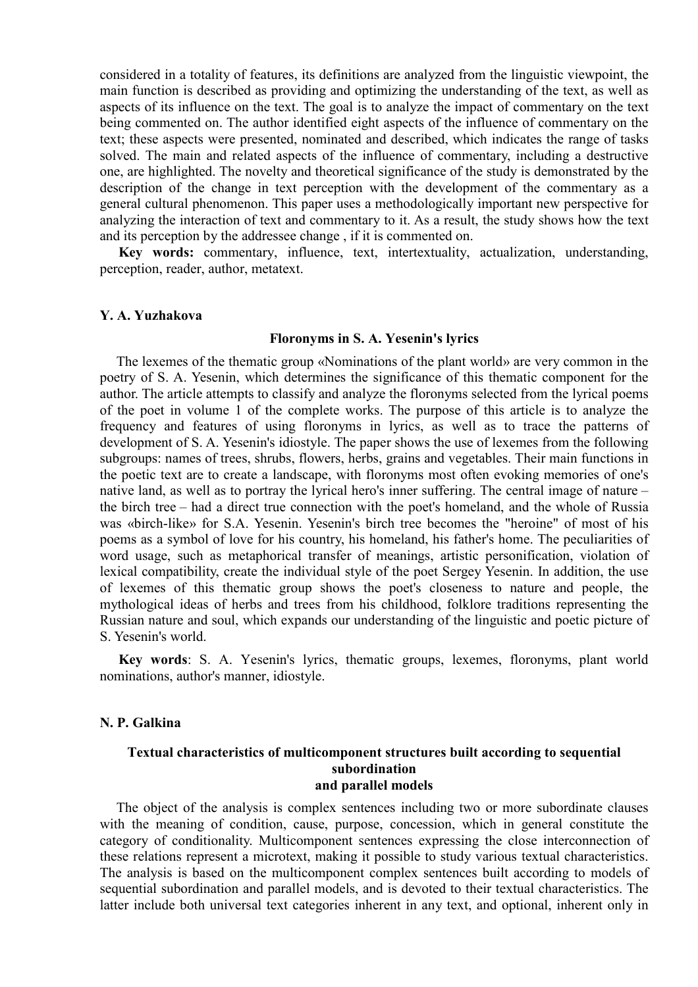considered in a totality of features, its definitions are analyzed from the linguistic viewpoint, the main function is described as providing and optimizing the understanding of the text, as well as aspects of its influence on the text. The goal is to analyze the impact of commentary on the text being commented on. The author identified eight aspects of the influence of commentary on the text; these aspects were presented, nominated and described, which indicates the range of tasks solved. The main and related aspects of the influence of commentary, including a destructive one, are highlighted. The novelty and theoretical significance of the study is demonstrated by the description of the change in text perception with the development of the commentary as a general cultural phenomenon. This paper uses a methodologically important new perspective for analyzing the interaction of text and commentary to it. As a result, the study shows how the text and its perception by the addressee change , if it is commented on.

**Key words:** commentary, influence, text, intertextuality, actualization, understanding, perception, reader, author, metatext.

#### **Y. A. Yuzhakova**

#### **Floronyms in S. A. Yesenin's lyrics**

The lexemes of the thematic group «Nominations of the plant world» are very common in the poetry of S. A. Yesenin, which determines the significance of this thematic component for the author. The article attempts to classify and analyze the floronyms selected from the lyrical poems of the poet in volume 1 of the complete works. The purpose of this article is to analyze the frequency and features of using floronyms in lyrics, as well as to trace the patterns of development of S. A. Yesenin's idiostyle. The paper shows the use of lexemes from the following subgroups: names of trees, shrubs, flowers, herbs, grains and vegetables. Their main functions in the poetic text are to create a landscape, with floronyms most often evoking memories of one's native land, as well as to portray the lyrical hero's inner suffering. The central image of nature – the birch tree – had a direct true connection with the poet's homeland, and the whole of Russia was «birch-like» for S.A. Yesenin. Yesenin's birch tree becomes the "heroine" of most of his poems as a symbol of love for his country, his homeland, his father's home. The peculiarities of word usage, such as metaphorical transfer of meanings, artistic personification, violation of lexical compatibility, create the individual style of the poet Sergey Yesenin. In addition, the use of lexemes of this thematic group shows the poet's closeness to nature and people, the mythological ideas of herbs and trees from his childhood, folklore traditions representing the Russian nature and soul, which expands our understanding of the linguistic and poetic picture of S. Yesenin's world.

**Key words**: S. A. Yesenin's lyrics, thematic groups, lexemes, floronyms, plant world nominations, author's manner, idiostyle.

### **N. P. Galkina**

## **Textual characteristics of multicomponent structures built according to sequential subordination and parallel models**

The object of the analysis is complex sentences including two or more subordinate clauses with the meaning of condition, cause, purpose, concession, which in general constitute the category of conditionality. Multicomponent sentences expressing the close interconnection of these relations represent a microtext, making it possible to study various textual characteristics. The analysis is based on the multicomponent complex sentences built according to models of sequential subordination and parallel models, and is devoted to their textual characteristics. The latter include both universal text categories inherent in any text, and optional, inherent only in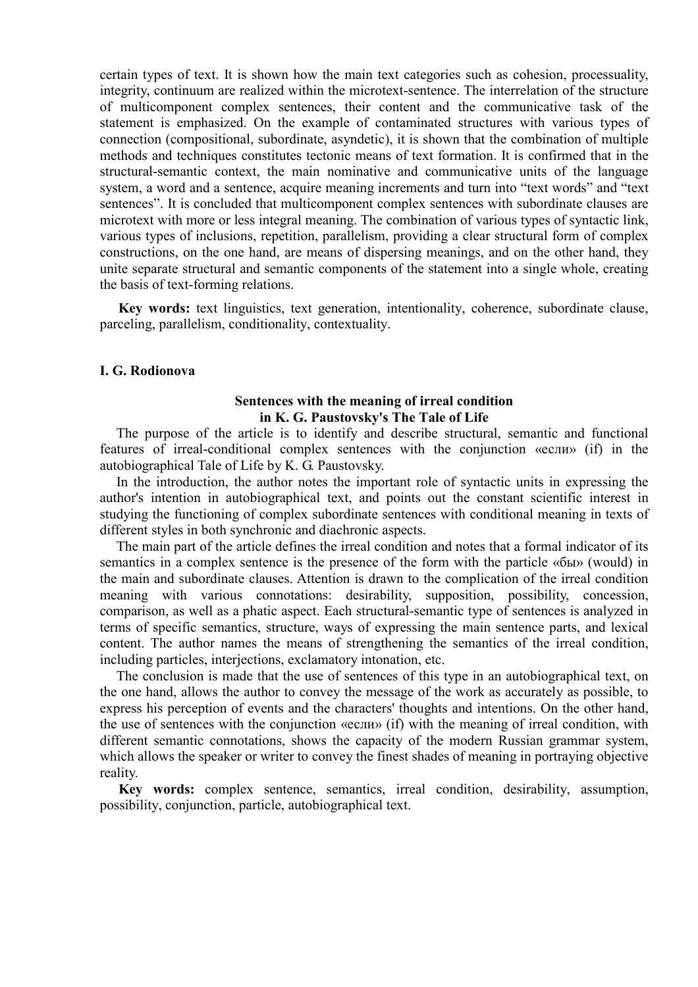certain types of text. It is shown how the main text categories such as cohesion, processuality, integrity, continuum are realized within the microtext-sentence. The interrelation of the structure of multicomponent complex sentences, their content and the communicative task of the statement is emphasized. On the example of contaminated structures with various types of connection (compositional, subordinate, asyndetic), it is shown that the combination of multiple methods and techniques constitutes tectonic means of text formation. It is confirmed that in the structural-semantic context, the main nominative and communicative units of the language system, a word and a sentence, acquire meaning increments and turn into "text words" and "text sentences". It is concluded that multicomponent complex sentences with subordinate clauses are microtext with more or less integral meaning. The combination of various types of syntactic link, various types of inclusions, repetition, parallelism, providing a clear structural form of complex constructions, on the one hand, are means of dispersing meanings, and on the other hand, they unite separate structural and semantic components of the statement into a single whole, creating the basis of text-forming relations.

**Key words:** text linguistics, text generation, intentionality, coherence, subordinate clause, parceling, parallelism, conditionality, contextuality.

# **I. G. Rodionova**

## **Sentences with the meaning of irreal condition in K. G. Paustovsky's The Tale of Life**

The purpose of the article is to identify and describe structural, semantic and functional features of irreal-conditional complex sentences with the conjunction «если» (if) in the autobiographical Tale of Life by K. G. Paustovsky.

In the introduction, the author notes the important role of syntactic units in expressing the author's intention in autobiographical text, and points out the constant scientific interest in studying the functioning of complex subordinate sentences with conditional meaning in texts of different styles in both synchronic and diachronic aspects.

The main part of the article defines the irreal condition and notes that a formal indicator of its semantics in a complex sentence is the presence of the form with the particle «бы» (would) in the main and subordinate clauses. Attention is drawn to the complication of the irreal condition meaning with various connotations: desirability, supposition, possibility, concession, comparison, as well as a phatic aspect. Each structural-semantic type of sentences is analyzed in terms of specific semantics, structure, ways of expressing the main sentence parts, and lexical content. The author names the means of strengthening the semantics of the irreal condition, including particles, interjections, exclamatory intonation, etc.

The conclusion is made that the use of sentences of this type in an autobiographical text, on the one hand, allows the author to convey the message of the work as accurately as possible, to express his perception of events and the characters' thoughts and intentions. On the other hand, the use of sentences with the conjunction «если» (if) with the meaning of irreal condition, with different semantic connotations, shows the capacity of the modern Russian grammar system, which allows the speaker or writer to convey the finest shades of meaning in portraying objective reality.

**Key words:** complex sentence, semantics, irreal condition, desirability, assumption, possibility, conjunction, particle, autobiographical text.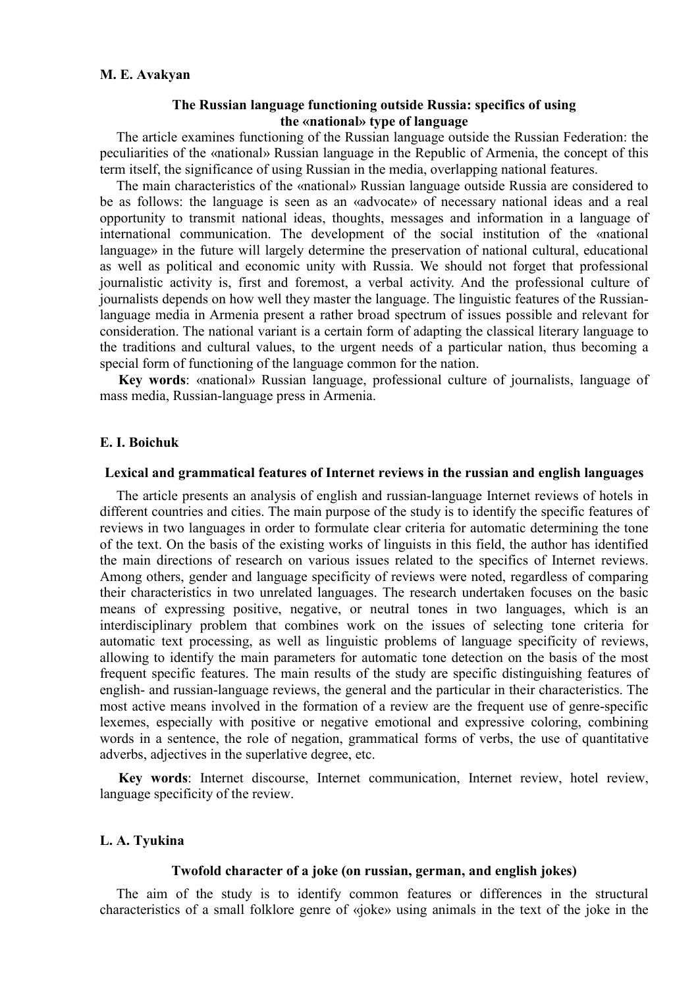## **The Russian language functioning outside Russia: specifics of using the «national» type of language**

The article examines functioning of the Russian language outside the Russian Federation: the peculiarities of the «national» Russian language in the Republic of Armenia, the concept of this term itself, the significance of using Russian in the media, overlapping national features.

The main characteristics of the «national» Russian language outside Russia are considered to be as follows: the language is seen as an «advocate» of necessary national ideas and a real opportunity to transmit national ideas, thoughts, messages and information in a language of international communication. The development of the social institution of the «national language» in the future will largely determine the preservation of national cultural, educational as well as political and economic unity with Russia. We should not forget that professional journalistic activity is, first and foremost, a verbal activity. And the professional culture of journalists depends on how well they master the language. The linguistic features of the Russianlanguage media in Armenia present a rather broad spectrum of issues possible and relevant for consideration. The national variant is a certain form of adapting the classical literary language to the traditions and cultural values, to the urgent needs of a particular nation, thus becoming a special form of functioning of the language common for the nation.

**Key words**: «national» Russian language, professional culture of journalists, language of mass media, Russian-language press in Armenia.

## **E. I. Boichuk**

#### **Lexical and grammatical features of Internet reviews in the russian and english languages**

The article presents an analysis of english and russian-language Internet reviews of hotels in different countries and cities. The main purpose of the study is to identify the specific features of reviews in two languages in order to formulate clear criteria for automatic determining the tone of the text. On the basis of the existing works of linguists in this field, the author has identified the main directions of research on various issues related to the specifics of Internet reviews. Among others, gender and language specificity of reviews were noted, regardless of comparing their characteristics in two unrelated languages. The research undertaken focuses on the basic means of expressing positive, negative, or neutral tones in two languages, which is an interdisciplinary problem that combines work on the issues of selecting tone criteria for automatic text processing, as well as linguistic problems of language specificity of reviews, allowing to identify the main parameters for automatic tone detection on the basis of the most frequent specific features. The main results of the study are specific distinguishing features of english- and russian-language reviews, the general and the particular in their characteristics. The most active means involved in the formation of a review are the frequent use of genre-specific lexemes, especially with positive or negative emotional and expressive coloring, combining words in a sentence, the role of negation, grammatical forms of verbs, the use of quantitative adverbs, adjectives in the superlative degree, etc.

**Key words**: Internet discourse, Internet communication, Internet review, hotel review, language specificity of the review.

# **L. A. Tyukina**

#### **Twofold character of a joke (on russian, german, and english jokes)**

The aim of the study is to identify common features or differences in the structural characteristics of a small folklore genre of «joke» using animals in the text of the joke in the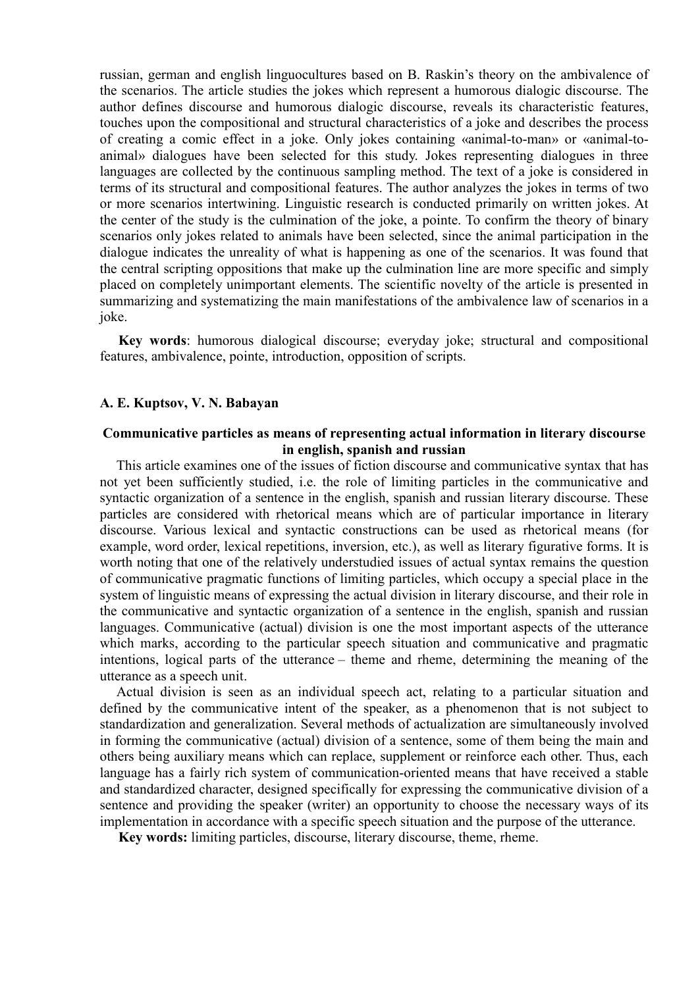russian, german and english linguocultures based on B. Raskin's theory on the ambivalence of the scenarios. The article studies the jokes which represent a humorous dialogic discourse. The author defines discourse and humorous dialogic discourse, reveals its characteristic features, touches upon the compositional and structural characteristics of a joke and describes the process of creating a comic effect in a joke. Only jokes containing «animal-to-man» or «animal-toanimal» dialogues have been selected for this study. Jokes representing dialogues in three languages are collected by the continuous sampling method. The text of a joke is considered in terms of its structural and compositional features. The author analyzes the jokes in terms of two or more scenarios intertwining. Linguistic research is conducted primarily on written jokes. At the center of the study is the culmination of the joke, a pointe. To confirm the theory of binary scenarios only jokes related to animals have been selected, since the animal participation in the dialogue indicates the unreality of what is happening as one of the scenarios. It was found that the central scripting oppositions that make up the culmination line are more specific and simply placed on completely unimportant elements. The scientific novelty of the article is presented in summarizing and systematizing the main manifestations of the ambivalence law of scenarios in a joke.

**Key words**: humorous dialogical discourse; everyday joke; structural and compositional features, ambivalence, pointe, introduction, opposition of scripts.

### **A. E. Kuptsov, V. N. Babayan**

## **Communicative particles as means of representing actual information in literary discourse in english, spanish and russian**

This article examines one of the issues of fiction discourse and communicative syntax that has not yet been sufficiently studied, i.e. the role of limiting particles in the communicative and syntactic organization of a sentence in the english, spanish and russian literary discourse. These particles are considered with rhetorical means which are of particular importance in literary discourse. Various lexical and syntactic constructions can be used as rhetorical means (for example, word order, lexical repetitions, inversion, etc.), as well as literary figurative forms. It is worth noting that one of the relatively understudied issues of actual syntax remains the question of communicative pragmatic functions of limiting particles, which occupy a special place in the system of linguistic means of expressing the actual division in literary discourse, and their role in the communicative and syntactic organization of a sentence in the english, spanish and russian languages. Communicative (actual) division is one the most important aspects of the utterance which marks, according to the particular speech situation and communicative and pragmatic intentions, logical parts of the utterance – theme and rheme, determining the meaning of the utterance as a speech unit.

Actual division is seen as an individual speech act, relating to a particular situation and defined by the communicative intent of the speaker, as a phenomenon that is not subject to standardization and generalization. Several methods of actualization are simultaneously involved in forming the communicative (actual) division of a sentence, some of them being the main and others being auxiliary means which can replace, supplement or reinforce each other. Thus, each language has a fairly rich system of communication-oriented means that have received a stable and standardized character, designed specifically for expressing the communicative division of a sentence and providing the speaker (writer) an opportunity to choose the necessary ways of its implementation in accordance with a specific speech situation and the purpose of the utterance.

**Key words:** limiting particles, discourse, literary discourse, theme, rheme.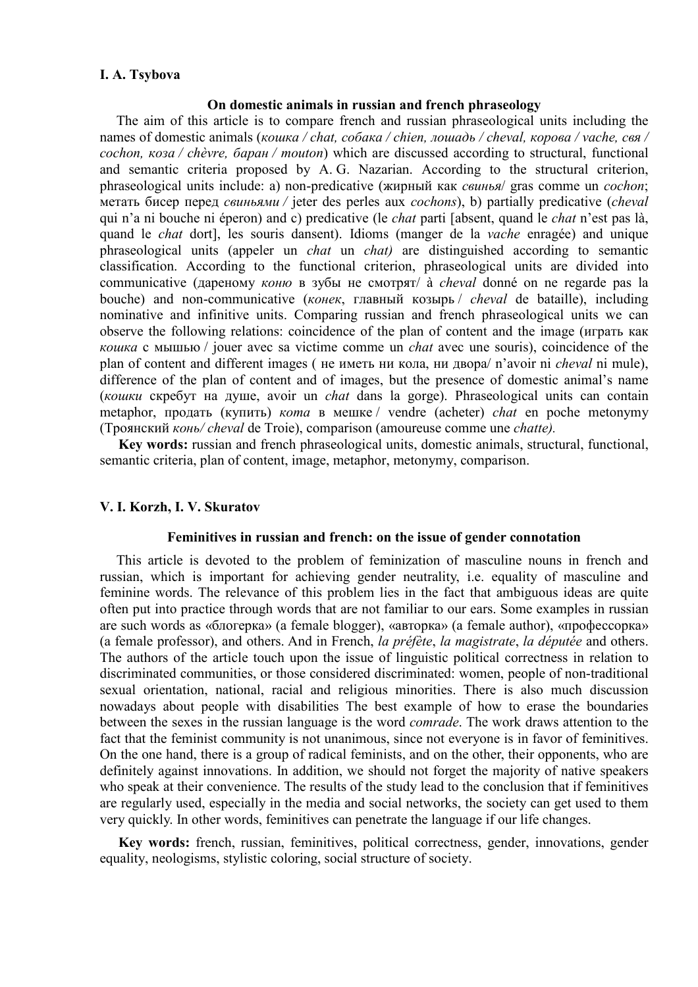## **I. A. Tsybova**

#### **On domestic animals in russian and french phraseology**

The aim of this article is to compare french and russian phraseological units including the names of domestic animals (*кошка / chat, собака / chien, лошадь / cheval, корова / vache, свя / cochon, коза / chèvre, баран / mouton*) which are discussed according to structural, functional and semantic criteria proposed by A. G. Nazarian. According to the structural criterion, phraseological units include: a) non-predicative (жирный как *свинья*/ gras comme un *cochon*; метать бисер перед *свиньями /* jeter des perles aux *cochons*), b) partially predicative (*cheval* qui n'a ni bouche ni éperon) and с) predicative (le *chat* parti [absent, quand le *chat* n'est pas là, quand le *chat* dort], les souris dansent). Idioms (manger de la *vache* enragée) and unique phraseological units (appeler un *chat* un *chat)* are distinguished according to semantic classification. According to the functional criterion, phraseological units are divided into communicative (дареному *коню* в зубы не смотрят/ à *cheval* donné on ne regarde pas la bouche) and non-communicative (*конек*, главный козырь / *cheval* de bataille), including nominative and infinitive units. Comparing russian and french phraseological units we can observe the following relations: coincidence of the plan of content and the image (играть как *кошка* с мышью / jouer avec sa victime comme un *chat* avec une souris), coincidence of the plan of content and different images ( не иметь ни кола, ни двора/ n'avoir ni *cheval* ni mule), difference of the plan of content and of images, but the presence of domestic animal's name (*кошки* скребут на душе, avoir un *chat* dans la gorge). Phraseological units can сontain metaphor, продать (купить) *кота* в мешке / vendre (acheter) *chat* en poche metonymy (Троянский *конь/ cheval* de Troie), comparison (amoureuse comme une *chatte).*

**Key words:** russian and french phraseological units, domestic animals, structural, functional, semantic criteria, plan of content, image, metaphor, metonymy, comparison.

# **V. I. Korzh, I. V. Skuratov**

### **Feminitives in russian and french: on the issue of gender connotation**

This article is devoted to the problem of feminization of masculine nouns in french and russian, which is important for achieving gender neutrality, i.e. equality of masculine and feminine words. The relevance of this problem lies in the fact that ambiguous ideas are quite often put into practice through words that are not familiar to our ears. Some examples in russian are such words as «блогерка» (a female blogger), «авторка» (a female author), «профессорка» (a female professor), and others. And in French, *la préfète*, *la magistrate*, *la députée* and others. The authors of the article touch upon the issue of linguistic political correctness in relation to discriminated communities, or those considered discriminated: women, people of non-traditional sexual orientation, national, racial and religious minorities. There is also much discussion nowadays about people with disabilities The best example of how to erase the boundaries between the sexes in the russian language is the word *comrade*. The work draws attention to the fact that the feminist community is not unanimous, since not everyone is in favor of feminitives. On the one hand, there is a group of radical feminists, and on the other, their opponents, who are definitely against innovations. In addition, we should not forget the majority of native speakers who speak at their convenience. The results of the study lead to the conclusion that if feminitives are regularly used, especially in the media and social networks, the society can get used to them very quickly. In other words, feminitives can penetrate the language if our life changes.

**Key words:** french, russian, feminitives, political correctness, gender, innovations, gender equality, neologisms, stylistic coloring, social structure of society.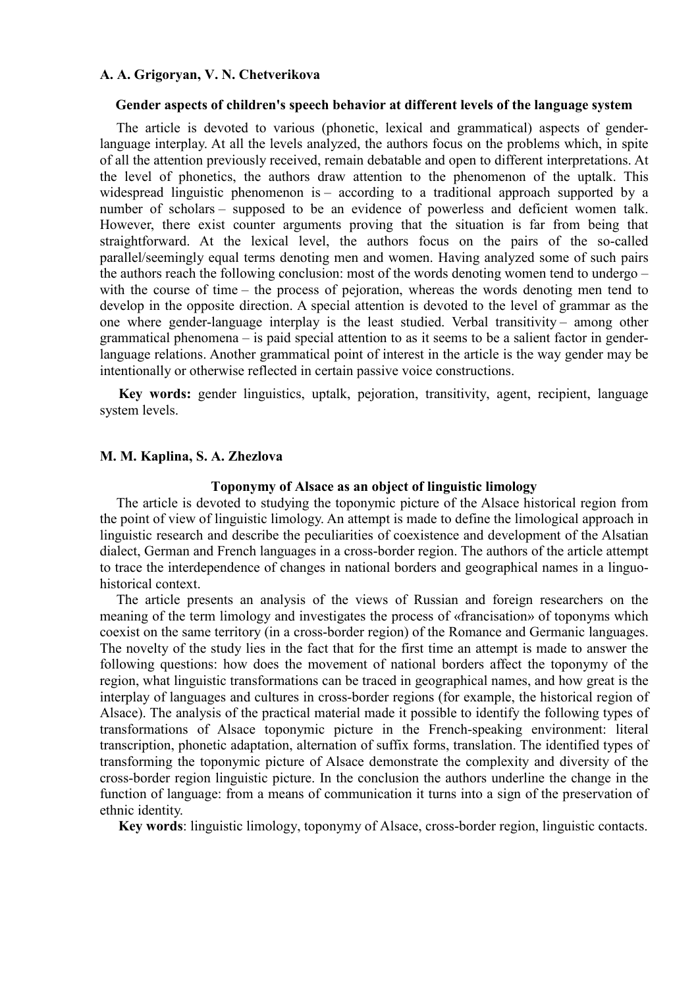### **A. A. Grigoryan, V. N. Chetverikova**

#### **Gender aspects of children's speech behavior at different levels of the language system**

The article is devoted to various (phonetic, lexical and grammatical) aspects of genderlanguage interplay. At all the levels analyzed, the authors focus on the problems which, in spite of all the attention previously received, remain debatable and open to different interpretations. At the level of phonetics, the authors draw attention to the phenomenon of the uptalk. This widespread linguistic phenomenon is – according to a traditional approach supported by a number of scholars – supposed to be an evidence of powerless and deficient women talk. However, there exist counter arguments proving that the situation is far from being that straightforward. At the lexical level, the authors focus on the pairs of the so-called parallel/seemingly equal terms denoting men and women. Having analyzed some of such pairs the authors reach the following conclusion: most of the words denoting women tend to undergo – with the course of time – the process of pejoration, whereas the words denoting men tend to develop in the opposite direction. A special attention is devoted to the level of grammar as the one where gender-language interplay is the least studied. Verbal transitivity – among other grammatical phenomena – is paid special attention to as it seems to be a salient factor in genderlanguage relations. Another grammatical point of interest in the article is the way gender may be intentionally or otherwise reflected in certain passive voice constructions.

**Key words:** gender linguistics, uptalk, pejoration, transitivity, agent, recipient, language system levels.

## **M. M. Kaplina, S. A. Zhezlova**

#### **Toponymy of Alsace as an object of linguistic limology**

The article is devoted to studying the toponymic picture of the Alsace historical region from the point of view of linguistic limology. An attempt is made to define the limological approach in linguistic research and describe the peculiarities of coexistence and development of the Alsatian dialect, German and French languages in a cross-border region. The authors of the article attempt to trace the interdependence of changes in national borders and geographical names in a linguohistorical context.

The article presents an analysis of the views of Russian and foreign researchers on the meaning of the term limology and investigates the process of «francisation» of toponyms which coexist on the same territory (in a cross-border region) of the Romance and Germanic languages. The novelty of the study lies in the fact that for the first time an attempt is made to answer the following questions: how does the movement of national borders affect the toponymy of the region, what linguistic transformations can be traced in geographical names, and how great is the interplay of languages and cultures in cross-border regions (for example, the historical region of Alsace). The analysis of the practical material made it possible to identify the following types of transformations of Alsace toponymic picture in the French-speaking environment: literal transcription, phonetic adaptation, alternation of suffix forms, translation. The identified types of transforming the toponymic picture of Alsace demonstrate the complexity and diversity of the cross-border region linguistic picture. In the conclusion the authors underline the change in the function of language: from a means of communication it turns into a sign of the preservation of ethnic identity.

**Key words**: linguistic limology, toponymy of Alsace, cross-border region, linguistic contacts.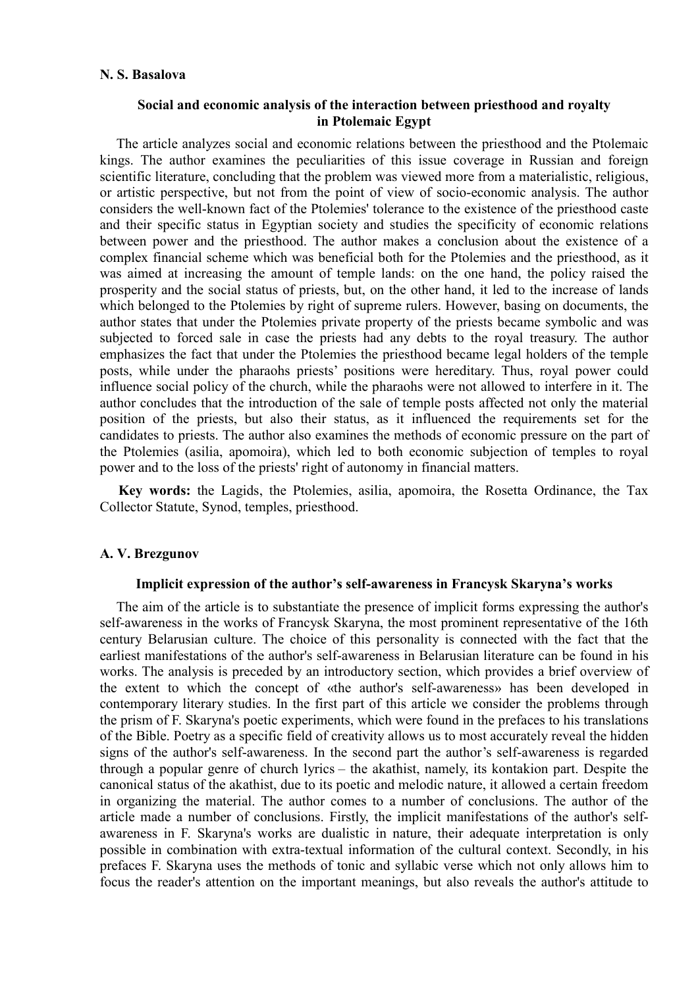# **N. S. Basalova**

# **Social and economic analysis of the interaction between priesthood and royalty in Ptolemaic Egypt**

The article analyzes social and economic relations between the priesthood and the Ptolemaic kings. The author examines the peculiarities of this issue coverage in Russian and foreign scientific literature, concluding that the problem was viewed more from a materialistic, religious, or artistic perspective, but not from the point of view of socio-economic analysis. The author considers the well-known fact of the Ptolemies' tolerance to the existence of the priesthood caste and their specific status in Egyptian society and studies the specificity of economic relations between power and the priesthood. The author makes a conclusion about the existence of a complex financial scheme which was beneficial both for the Ptolemies and the priesthood, as it was aimed at increasing the amount of temple lands: on the one hand, the policy raised the prosperity and the social status of priests, but, on the other hand, it led to the increase of lands which belonged to the Ptolemies by right of supreme rulers. However, basing on documents, the author states that under the Ptolemies private property of the priests became symbolic and was subjected to forced sale in case the priests had any debts to the royal treasury. The author emphasizes the fact that under the Ptolemies the priesthood became legal holders of the temple posts, while under the pharaohs priests' positions were hereditary. Thus, royal power could influence social policy of the church, while the pharaohs were not allowed to interfere in it. The author concludes that the introduction of the sale of temple posts affected not only the material position of the priests, but also their status, as it influenced the requirements set for the candidates to priests. The author also examines the methods of economic pressure on the part of the Ptolemies (asilia, apomoira), which led to both economic subjection of temples to royal power and to the loss of the priests' right of autonomy in financial matters.

**Key words:** the Lagids, the Ptolemies, asilia, apomoira, the Rosetta Ordinance, the Tax Collector Statute, Synod, temples, priesthood.

### **A. V. Brezgunov**

#### **Implicit expression of the author's self-awareness in Francysk Skaryna's works**

The aim of the article is to substantiate the presence of implicit forms expressing the author's self-awareness in the works of Francysk Skaryna, the most prominent representative of the 16th century Belarusian culture. The choice of this personality is connected with the fact that the earliest manifestations of the author's self-awareness in Belarusian literature can be found in his works. The analysis is preceded by an introductory section, which provides a brief overview of the extent to which the concept of «the author's self-awareness» has been developed in contemporary literary studies. In the first part of this article we consider the problems through the prism of F. Skaryna's poetic experiments, which were found in the prefaces to his translations of the Bible. Poetry as a specific field of creativity allows us to most accurately reveal the hidden signs of the author's self-awareness. In the second part the author's self-awareness is regarded through a popular genre of church lyrics – the akathist, namely, its kontakion part. Despite the canonical status of the akathist, due to its poetic and melodic nature, it allowed a certain freedom in organizing the material. The author comes to a number of conclusions. The author of the article made a number of conclusions. Firstly, the implicit manifestations of the author's selfawareness in F. Skaryna's works are dualistic in nature, their adequate interpretation is only possible in combination with extra-textual information of the cultural context. Secondly, in his prefaces F. Skaryna uses the methods of tonic and syllabic verse which not only allows him to focus the reader's attention on the important meanings, but also reveals the author's attitude to